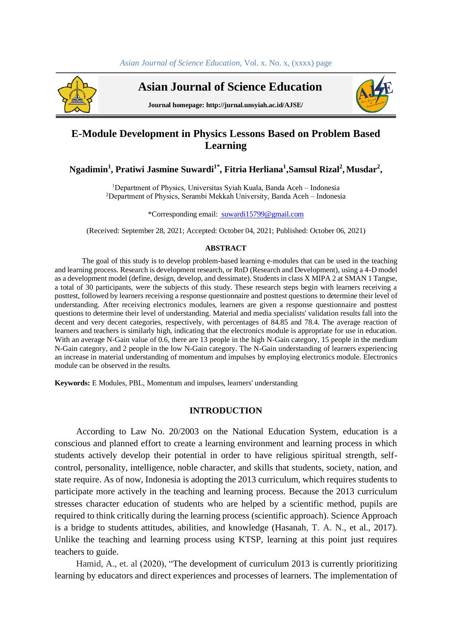

 **Asian Journal of Science Education**



**Journal homepage: http://jurnal.unsyiah.ac.id/AJSE/**

# **E-Module Development in Physics Lessons Based on Problem Based Learning**

# **Ngadimin<sup>1</sup> , Pratiwi Jasmine Suwardi1\* , Fitria Herliana<sup>1</sup> ,Samsul Rizal<sup>2</sup> , Musdar<sup>2</sup> ,**

<sup>1</sup>Department of Physics, Universitas Sviah Kuala, Banda Aceh – Indonesia <sup>2</sup>Department of Physics, Serambi Mekkah University, Banda Aceh – Indonesia

\*Corresponding email[: suwardi15799@gmail.com](mailto:%20suwardi15799@gmail.com)

(Received: September 28, 2021; Accepted: October 04, 2021; Published: October 06, 2021)

#### **ABSTRACT**

The goal of this study is to develop problem-based learning e-modules that can be used in the teaching and learning process. Research is development research, or RnD (Research and Development), using a 4-D model as a development model (define, design, develop, and dessimate). Students in class X MIPA 2 at SMAN 1 Tangse, a total of 30 participants, were the subjects of this study. These research steps begin with learners receiving a posttest, followed by learners receiving a response questionnaire and posttest questions to determine their level of understanding. After receiving electronics modules, learners are given a response questionnaire and posttest questions to determine their level of understanding. Material and media specialists' validation results fall into the decent and very decent categories, respectively, with percentages of 84.85 and 78.4. The average reaction of learners and teachers is similarly high, indicating that the electronics module is appropriate for use in education. With an average N-Gain value of 0.6, there are 13 people in the high N-Gain category, 15 people in the medium N-Gain category, and 2 people in the low N-Gain category. The N-Gain understanding of learners experiencing an increase in material understanding of momentum and impulses by employing electronics module. Electronics module can be observed in the results.

**Keywords:** E Modules, PBL, Momentum and impulses, learners' understanding

## **INTRODUCTION**

According to Law No. 20/2003 on the National Education System, education is a conscious and planned effort to create a learning environment and learning process in which students actively develop their potential in order to have religious spiritual strength, selfcontrol, personality, intelligence, noble character, and skills that students, society, nation, and state require. As of now, Indonesia is adopting the 2013 curriculum, which requires students to participate more actively in the teaching and learning process. Because the 2013 curriculum stresses character education of students who are helped by a scientific method, pupils are required to think critically during the learning process (scientific approach). Science Approach is a bridge to students attitudes, abilities, and knowledge (Hasanah, T. A. N., et al., 2017). Unlike the teaching and learning process using KTSP, learning at this point just requires teachers to guide.

Hamid, A., et. al (2020), "The development of curriculum 2013 is currently prioritizing learning by educators and direct experiences and processes of learners. The implementation of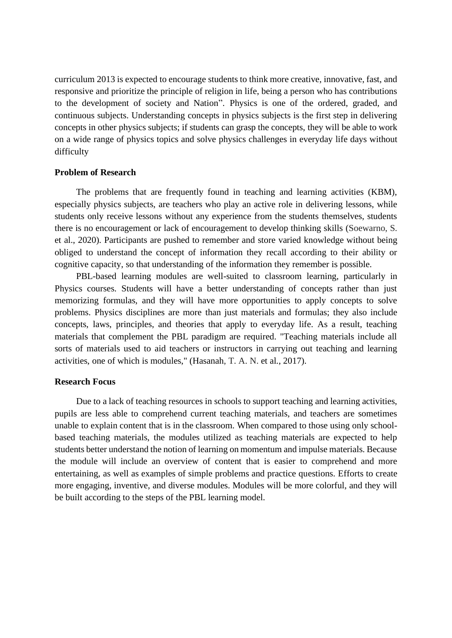curriculum 2013 is expected to encourage students to think more creative, innovative, fast, and responsive and prioritize the principle of religion in life, being a person who has contributions to the development of society and Nation". Physics is one of the ordered, graded, and continuous subjects. Understanding concepts in physics subjects is the first step in delivering concepts in other physics subjects; if students can grasp the concepts, they will be able to work on a wide range of physics topics and solve physics challenges in everyday life days without difficulty

## **Problem of Research**

The problems that are frequently found in teaching and learning activities (KBM), especially physics subjects, are teachers who play an active role in delivering lessons, while students only receive lessons without any experience from the students themselves, students there is no encouragement or lack of encouragement to develop thinking skills (Soewarno, S. et al., 2020). Participants are pushed to remember and store varied knowledge without being obliged to understand the concept of information they recall according to their ability or cognitive capacity, so that understanding of the information they remember is possible.

PBL-based learning modules are well-suited to classroom learning, particularly in Physics courses. Students will have a better understanding of concepts rather than just memorizing formulas, and they will have more opportunities to apply concepts to solve problems. Physics disciplines are more than just materials and formulas; they also include concepts, laws, principles, and theories that apply to everyday life. As a result, teaching materials that complement the PBL paradigm are required. "Teaching materials include all sorts of materials used to aid teachers or instructors in carrying out teaching and learning activities, one of which is modules," (Hasanah, T. A. N. et al., 2017).

### **Research Focus**

Due to a lack of teaching resources in schools to support teaching and learning activities, pupils are less able to comprehend current teaching materials, and teachers are sometimes unable to explain content that is in the classroom. When compared to those using only schoolbased teaching materials, the modules utilized as teaching materials are expected to help students better understand the notion of learning on momentum and impulse materials. Because the module will include an overview of content that is easier to comprehend and more entertaining, as well as examples of simple problems and practice questions. Efforts to create more engaging, inventive, and diverse modules. Modules will be more colorful, and they will be built according to the steps of the PBL learning model.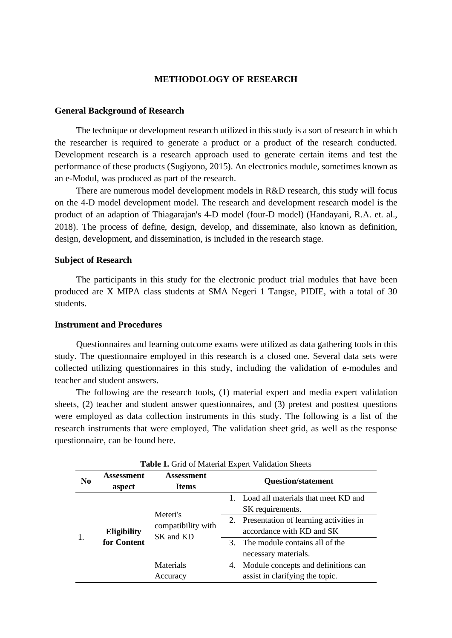## **METHODOLOGY OF RESEARCH**

## **General Background of Research**

The technique or development research utilized in this study is a sort of research in which the researcher is required to generate a product or a product of the research conducted. Development research is a research approach used to generate certain items and test the performance of these products (Sugiyono, 2015). An electronics module, sometimes known as an e-Modul, was produced as part of the research.

There are numerous model development models in R&D research, this study will focus on the 4-D model development model. The research and development research model is the product of an adaption of Thiagarajan's 4-D model (four-D model) (Handayani, R.A. et. al., 2018). The process of define, design, develop, and disseminate, also known as definition, design, development, and dissemination, is included in the research stage.

## **Subject of Research**

The participants in this study for the electronic product trial modules that have been produced are X MIPA class students at SMA Negeri 1 Tangse, PIDIE, with a total of 30 students.

## **Instrument and Procedures**

Questionnaires and learning outcome exams were utilized as data gathering tools in this study. The questionnaire employed in this research is a closed one. Several data sets were collected utilizing questionnaires in this study, including the validation of e-modules and teacher and student answers.

The following are the research tools, (1) material expert and media expert validation sheets, (2) teacher and student answer questionnaires, and (3) pretest and posttest questions were employed as data collection instruments in this study. The following is a list of the research instruments that were employed, The validation sheet grid, as well as the response questionnaire, can be found here.

| N <sub>0</sub> | Assessment<br>aspect | Assessment<br><b>Items</b>                  | <b>Question/statement</b>                                    |                                                                                                                                |  |
|----------------|----------------------|---------------------------------------------|--------------------------------------------------------------|--------------------------------------------------------------------------------------------------------------------------------|--|
|                | Eligibility          |                                             |                                                              | Load all materials that meet KD and<br>SK requirements.<br>Presentation of learning activities in<br>accordance with KD and SK |  |
|                |                      | Meteri's<br>compatibility with<br>SK and KD | 2.                                                           |                                                                                                                                |  |
|                | for Content          |                                             | The module contains all of the<br>3.<br>necessary materials. |                                                                                                                                |  |
|                |                      | Materials<br>Accuracy                       | 4.                                                           | Module concepts and definitions can<br>assist in clarifying the topic.                                                         |  |

**Table 1.** Grid of Material Expert Validation Sheets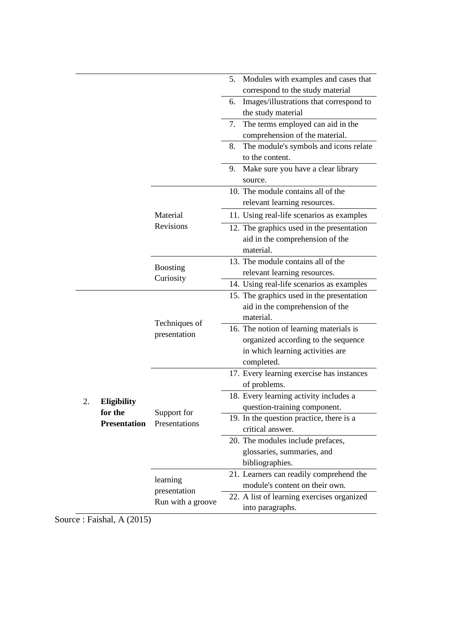|    |                     |                                               | Modules with examples and cases that<br>5.                                                                                                                                                                                                                                                                                                                                                                                                                                                                                                                                                                                                                                                                                                                                                                                                                                                                                                                                                                                                                          |  |
|----|---------------------|-----------------------------------------------|---------------------------------------------------------------------------------------------------------------------------------------------------------------------------------------------------------------------------------------------------------------------------------------------------------------------------------------------------------------------------------------------------------------------------------------------------------------------------------------------------------------------------------------------------------------------------------------------------------------------------------------------------------------------------------------------------------------------------------------------------------------------------------------------------------------------------------------------------------------------------------------------------------------------------------------------------------------------------------------------------------------------------------------------------------------------|--|
|    |                     |                                               | correspond to the study material                                                                                                                                                                                                                                                                                                                                                                                                                                                                                                                                                                                                                                                                                                                                                                                                                                                                                                                                                                                                                                    |  |
|    |                     |                                               | Images/illustrations that correspond to<br>6.<br>the study material                                                                                                                                                                                                                                                                                                                                                                                                                                                                                                                                                                                                                                                                                                                                                                                                                                                                                                                                                                                                 |  |
|    |                     |                                               | The terms employed can aid in the<br>7.                                                                                                                                                                                                                                                                                                                                                                                                                                                                                                                                                                                                                                                                                                                                                                                                                                                                                                                                                                                                                             |  |
|    |                     |                                               | comprehension of the material.                                                                                                                                                                                                                                                                                                                                                                                                                                                                                                                                                                                                                                                                                                                                                                                                                                                                                                                                                                                                                                      |  |
|    |                     |                                               | The module's symbols and icons relate<br>8.                                                                                                                                                                                                                                                                                                                                                                                                                                                                                                                                                                                                                                                                                                                                                                                                                                                                                                                                                                                                                         |  |
|    |                     |                                               | to the content.                                                                                                                                                                                                                                                                                                                                                                                                                                                                                                                                                                                                                                                                                                                                                                                                                                                                                                                                                                                                                                                     |  |
|    |                     |                                               | Make sure you have a clear library<br>9.<br>source.<br>10. The module contains all of the<br>relevant learning resources.<br>11. Using real-life scenarios as examples<br>12. The graphics used in the presentation<br>aid in the comprehension of the<br>material.<br>13. The module contains all of the<br>relevant learning resources.<br>14. Using real-life scenarios as examples<br>15. The graphics used in the presentation<br>aid in the comprehension of the<br>material.<br>16. The notion of learning materials is<br>organized according to the sequence<br>in which learning activities are<br>completed.<br>17. Every learning exercise has instances<br>of problems.<br>18. Every learning activity includes a<br>question-training component.<br>19. In the question practice, there is a<br>critical answer.<br>20. The modules include prefaces,<br>glossaries, summaries, and<br>bibliographies.<br>21. Learners can readily comprehend the<br>module's content on their own.<br>22. A list of learning exercises organized<br>into paragraphs. |  |
|    |                     |                                               |                                                                                                                                                                                                                                                                                                                                                                                                                                                                                                                                                                                                                                                                                                                                                                                                                                                                                                                                                                                                                                                                     |  |
|    |                     |                                               |                                                                                                                                                                                                                                                                                                                                                                                                                                                                                                                                                                                                                                                                                                                                                                                                                                                                                                                                                                                                                                                                     |  |
|    |                     | Material                                      |                                                                                                                                                                                                                                                                                                                                                                                                                                                                                                                                                                                                                                                                                                                                                                                                                                                                                                                                                                                                                                                                     |  |
|    |                     | Revisions                                     |                                                                                                                                                                                                                                                                                                                                                                                                                                                                                                                                                                                                                                                                                                                                                                                                                                                                                                                                                                                                                                                                     |  |
|    |                     | <b>Boosting</b>                               |                                                                                                                                                                                                                                                                                                                                                                                                                                                                                                                                                                                                                                                                                                                                                                                                                                                                                                                                                                                                                                                                     |  |
|    |                     | Curiosity                                     |                                                                                                                                                                                                                                                                                                                                                                                                                                                                                                                                                                                                                                                                                                                                                                                                                                                                                                                                                                                                                                                                     |  |
|    |                     |                                               |                                                                                                                                                                                                                                                                                                                                                                                                                                                                                                                                                                                                                                                                                                                                                                                                                                                                                                                                                                                                                                                                     |  |
|    |                     | Techniques of<br>presentation                 |                                                                                                                                                                                                                                                                                                                                                                                                                                                                                                                                                                                                                                                                                                                                                                                                                                                                                                                                                                                                                                                                     |  |
|    |                     |                                               |                                                                                                                                                                                                                                                                                                                                                                                                                                                                                                                                                                                                                                                                                                                                                                                                                                                                                                                                                                                                                                                                     |  |
|    |                     |                                               |                                                                                                                                                                                                                                                                                                                                                                                                                                                                                                                                                                                                                                                                                                                                                                                                                                                                                                                                                                                                                                                                     |  |
|    |                     |                                               |                                                                                                                                                                                                                                                                                                                                                                                                                                                                                                                                                                                                                                                                                                                                                                                                                                                                                                                                                                                                                                                                     |  |
| 2. | <b>Eligibility</b>  |                                               |                                                                                                                                                                                                                                                                                                                                                                                                                                                                                                                                                                                                                                                                                                                                                                                                                                                                                                                                                                                                                                                                     |  |
|    | for the             | Support for                                   |                                                                                                                                                                                                                                                                                                                                                                                                                                                                                                                                                                                                                                                                                                                                                                                                                                                                                                                                                                                                                                                                     |  |
|    | <b>Presentation</b> | Presentations                                 |                                                                                                                                                                                                                                                                                                                                                                                                                                                                                                                                                                                                                                                                                                                                                                                                                                                                                                                                                                                                                                                                     |  |
|    |                     |                                               |                                                                                                                                                                                                                                                                                                                                                                                                                                                                                                                                                                                                                                                                                                                                                                                                                                                                                                                                                                                                                                                                     |  |
|    |                     |                                               |                                                                                                                                                                                                                                                                                                                                                                                                                                                                                                                                                                                                                                                                                                                                                                                                                                                                                                                                                                                                                                                                     |  |
|    |                     |                                               |                                                                                                                                                                                                                                                                                                                                                                                                                                                                                                                                                                                                                                                                                                                                                                                                                                                                                                                                                                                                                                                                     |  |
|    |                     | learning<br>presentation<br>Run with a groove |                                                                                                                                                                                                                                                                                                                                                                                                                                                                                                                                                                                                                                                                                                                                                                                                                                                                                                                                                                                                                                                                     |  |
|    |                     |                                               |                                                                                                                                                                                                                                                                                                                                                                                                                                                                                                                                                                                                                                                                                                                                                                                                                                                                                                                                                                                                                                                                     |  |
|    |                     |                                               |                                                                                                                                                                                                                                                                                                                                                                                                                                                                                                                                                                                                                                                                                                                                                                                                                                                                                                                                                                                                                                                                     |  |
|    |                     |                                               |                                                                                                                                                                                                                                                                                                                                                                                                                                                                                                                                                                                                                                                                                                                                                                                                                                                                                                                                                                                                                                                                     |  |
|    |                     |                                               |                                                                                                                                                                                                                                                                                                                                                                                                                                                                                                                                                                                                                                                                                                                                                                                                                                                                                                                                                                                                                                                                     |  |

Source : Faishal, A (2015)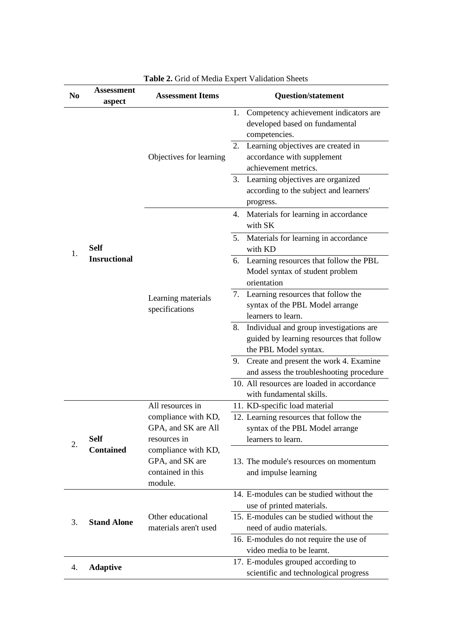| No | <b>Assessment</b><br>aspect | <b>radic 2.</b> Ond of media Expert $\gamma$ and along brice as<br><b>Assessment Items</b> | <b>Question/statement</b>                                                                                                                                                                                                                                                             |  |
|----|-----------------------------|--------------------------------------------------------------------------------------------|---------------------------------------------------------------------------------------------------------------------------------------------------------------------------------------------------------------------------------------------------------------------------------------|--|
|    |                             | Objectives for learning                                                                    | Competency achievement indicators are<br>1.<br>developed based on fundamental<br>competencies.<br>Learning objectives are created in<br>2.<br>accordance with supplement<br>achievement metrics.<br>Learning objectives are organized<br>3.<br>according to the subject and learners' |  |
|    |                             |                                                                                            | progress.<br>Materials for learning in accordance<br>4.<br>with SK                                                                                                                                                                                                                    |  |
|    | <b>Self</b>                 |                                                                                            | 5. Materials for learning in accordance<br>with KD                                                                                                                                                                                                                                    |  |
| 1. | <b>Insructional</b>         |                                                                                            | 6. Learning resources that follow the PBL<br>Model syntax of student problem<br>orientation                                                                                                                                                                                           |  |
|    |                             | Learning materials<br>specifications                                                       | 7. Learning resources that follow the<br>syntax of the PBL Model arrange<br>learners to learn.                                                                                                                                                                                        |  |
|    |                             |                                                                                            | Individual and group investigations are<br>8.<br>guided by learning resources that follow<br>the PBL Model syntax.                                                                                                                                                                    |  |
|    |                             |                                                                                            | 9. Create and present the work 4. Examine<br>and assess the troubleshooting procedure<br>10. All resources are loaded in accordance                                                                                                                                                   |  |
|    |                             |                                                                                            | with fundamental skills.                                                                                                                                                                                                                                                              |  |
| 2. | <b>Self</b>                 | All resources in<br>compliance with KD,<br>GPA, and SK are All<br>resources in             | 11. KD-specific load material<br>12. Learning resources that follow the<br>syntax of the PBL Model arrange<br>learners to learn.                                                                                                                                                      |  |
|    | <b>Contained</b>            | compliance with KD,<br>GPA, and SK are<br>contained in this<br>module.                     | 13. The module's resources on momentum<br>and impulse learning                                                                                                                                                                                                                        |  |
|    |                             |                                                                                            | 14. E-modules can be studied without the<br>use of printed materials.                                                                                                                                                                                                                 |  |
| 3. | <b>Stand Alone</b>          | Other educational<br>materials aren't used                                                 | 15. E-modules can be studied without the<br>need of audio materials.                                                                                                                                                                                                                  |  |
|    |                             |                                                                                            | 16. E-modules do not require the use of<br>video media to be learnt.                                                                                                                                                                                                                  |  |
| 4. | <b>Adaptive</b>             |                                                                                            | 17. E-modules grouped according to<br>scientific and technological progress                                                                                                                                                                                                           |  |

# **Table 2.** Grid of Media Expert Validation Sheets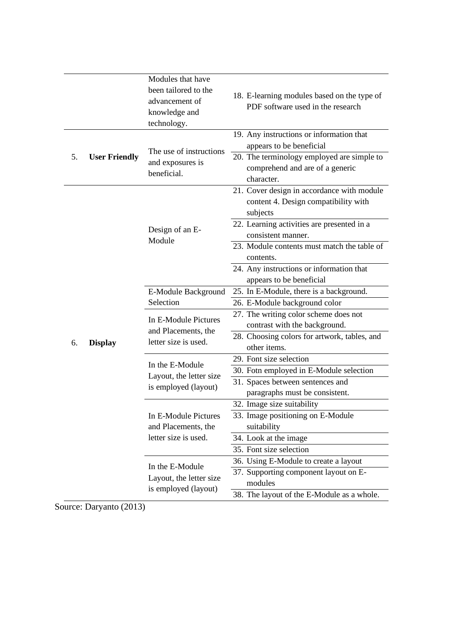|    | Modules that have    |                                                                                               |                                                                                                                         |  |
|----|----------------------|-----------------------------------------------------------------------------------------------|-------------------------------------------------------------------------------------------------------------------------|--|
|    |                      | been tailored to the<br>advancement of<br>knowledge and<br>technology.                        | 18. E-learning modules based on the type of<br>PDF software used in the research                                        |  |
|    |                      |                                                                                               | 19. Any instructions or information that                                                                                |  |
| 5. | <b>User Friendly</b> | The use of instructions<br>and exposures is<br>beneficial.                                    | appears to be beneficial<br>20. The terminology employed are simple to<br>comprehend and are of a generic<br>character. |  |
|    |                      |                                                                                               | 21. Cover design in accordance with module<br>content 4. Design compatibility with<br>subjects                          |  |
|    |                      | Design of an E-<br>Module                                                                     | 22. Learning activities are presented in a<br>consistent manner.                                                        |  |
|    |                      |                                                                                               | 23. Module contents must match the table of<br>contents.                                                                |  |
|    |                      |                                                                                               | 24. Any instructions or information that<br>appears to be beneficial                                                    |  |
|    |                      | E-Module Background                                                                           | 25. In E-Module, there is a background.                                                                                 |  |
|    |                      | Selection<br>26. E-Module background color                                                    |                                                                                                                         |  |
|    | <b>Display</b>       | In E-Module Pictures<br>and Placements, the<br>letter size is used.                           | 27. The writing color scheme does not<br>contrast with the background.                                                  |  |
| 6. |                      |                                                                                               | 28. Choosing colors for artwork, tables, and<br>other items.                                                            |  |
|    |                      | 29. Font size selection<br>In the E-Module<br>Layout, the letter size<br>is employed (layout) |                                                                                                                         |  |
|    |                      |                                                                                               | 30. Fotn employed in E-Module selection                                                                                 |  |
|    |                      |                                                                                               | 31. Spaces between sentences and<br>paragraphs must be consistent.                                                      |  |
|    |                      |                                                                                               | 32. Image size suitability                                                                                              |  |
|    |                      | In E-Module Pictures<br>and Placements, the                                                   | 33. Image positioning on E-Module<br>suitability                                                                        |  |
|    |                      | letter size is used.                                                                          | 34. Look at the image                                                                                                   |  |
|    |                      |                                                                                               | 35. Font size selection                                                                                                 |  |
|    |                      | In the E-Module                                                                               | 36. Using E-Module to create a layout                                                                                   |  |
|    |                      | Layout, the letter size<br>is employed (layout)                                               | 37. Supporting component layout on E-<br>modules                                                                        |  |
|    |                      |                                                                                               | 38. The layout of the E-Module as a whole.                                                                              |  |

Source: Daryanto (2013)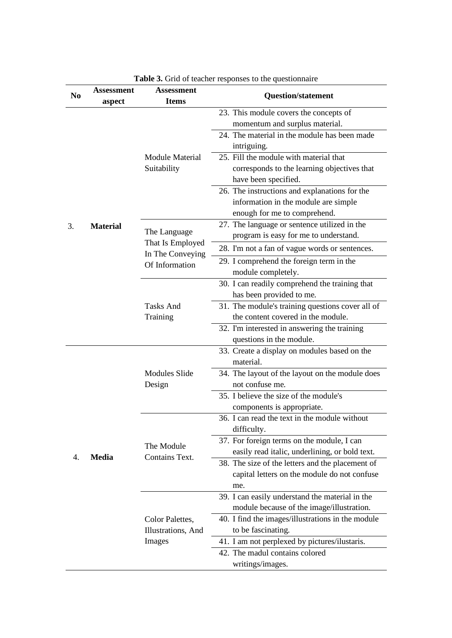| N <sub>0</sub> | Assessment<br>aspect | <b>Assessment</b><br><b>Items</b>  | <b>Question/statement</b>                         |
|----------------|----------------------|------------------------------------|---------------------------------------------------|
|                |                      |                                    | 23. This module covers the concepts of            |
|                |                      |                                    | momentum and surplus material.                    |
|                |                      |                                    | 24. The material in the module has been made      |
|                |                      |                                    | intriguing.                                       |
|                |                      | <b>Module Material</b>             | 25. Fill the module with material that            |
|                |                      | Suitability                        | corresponds to the learning objectives that       |
|                |                      |                                    | have been specified.                              |
|                |                      |                                    | 26. The instructions and explanations for the     |
|                |                      |                                    | information in the module are simple              |
|                |                      |                                    | enough for me to comprehend.                      |
| 3.             | <b>Material</b>      |                                    | 27. The language or sentence utilized in the      |
|                |                      | The Language                       | program is easy for me to understand.             |
|                |                      | That Is Employed                   | 28. I'm not a fan of vague words or sentences.    |
|                |                      | In The Conveying<br>Of Information | 29. I comprehend the foreign term in the          |
|                |                      |                                    | module completely.                                |
|                |                      | <b>Tasks And</b><br>Training       | 30. I can readily comprehend the training that    |
|                |                      |                                    | has been provided to me.                          |
|                |                      |                                    | 31. The module's training questions cover all of  |
|                |                      |                                    | the content covered in the module.                |
|                |                      |                                    | 32. I'm interested in answering the training      |
|                |                      |                                    | questions in the module.                          |
|                |                      | <b>Modules Slide</b>               | 33. Create a display on modules based on the      |
|                |                      |                                    | material.                                         |
|                |                      |                                    | 34. The layout of the layout on the module does   |
|                |                      | Design                             | not confuse me.                                   |
|                |                      |                                    | 35. I believe the size of the module's            |
|                |                      |                                    | components is appropriate.                        |
|                |                      |                                    | 36. I can read the text in the module without     |
|                |                      | The Module                         | difficulty.                                       |
|                |                      |                                    | 37. For foreign terms on the module, I can        |
|                |                      |                                    | easily read italic, underlining, or bold text.    |
| 4.             | <b>Media</b>         | Contains Text.                     | 38. The size of the letters and the placement of  |
|                |                      |                                    | capital letters on the module do not confuse      |
|                |                      |                                    | me.                                               |
|                |                      |                                    | 39. I can easily understand the material in the   |
|                |                      |                                    | module because of the image/illustration.         |
|                |                      | Color Palettes,                    | 40. I find the images/illustrations in the module |
|                |                      | Illustrations, And                 | to be fascinating.                                |
|                |                      | Images                             | 41. I am not perplexed by pictures/ilustaris.     |
|                |                      |                                    | 42. The madul contains colored                    |
|                |                      |                                    |                                                   |
|                |                      |                                    | writings/images.                                  |

**Table 3.** Grid of teacher responses to the questionnaire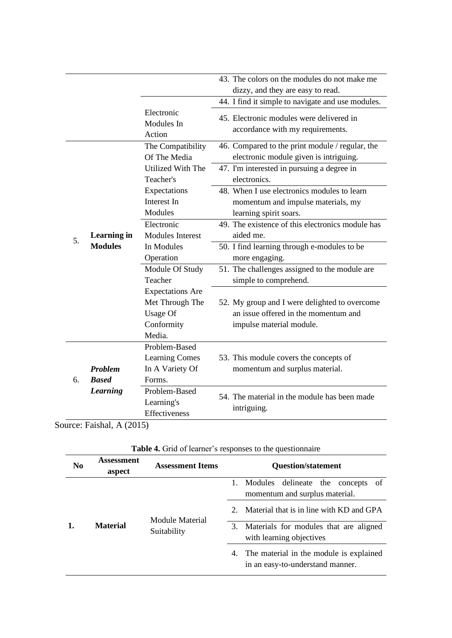|    |                                      |                                                                                | 43. The colors on the modules do not make me                                                                      |
|----|--------------------------------------|--------------------------------------------------------------------------------|-------------------------------------------------------------------------------------------------------------------|
|    |                                      |                                                                                | dizzy, and they are easy to read.<br>44. I find it simple to navigate and use modules.                            |
|    |                                      | Electronic<br>Modules In<br>Action                                             | 45. Electronic modules were delivered in<br>accordance with my requirements.                                      |
|    |                                      | The Compatibility<br>Of The Media                                              | 46. Compared to the print module / regular, the<br>electronic module given is intriguing.                         |
|    |                                      | Utilized With The<br>Teacher's                                                 | 47. I'm interested in pursuing a degree in<br>electronics.                                                        |
|    |                                      | Expectations<br>Interest In<br>Modules                                         | 48. When I use electronics modules to learn<br>momentum and impulse materials, my<br>learning spirit soars.       |
| 5. | <b>Learning in</b><br><b>Modules</b> | Electronic<br><b>Modules Interest</b>                                          | 49. The existence of this electronics module has<br>aided me.                                                     |
|    |                                      | In Modules<br>Operation                                                        | 50. I find learning through e-modules to be<br>more engaging.                                                     |
|    |                                      | Module Of Study<br>Teacher                                                     | 51. The challenges assigned to the module are<br>simple to comprehend.                                            |
|    |                                      | <b>Expectations Are</b><br>Met Through The<br>Usage Of<br>Conformity<br>Media. | 52. My group and I were delighted to overcome<br>an issue offered in the momentum and<br>impulse material module. |
|    | <b>Problem</b>                       | Problem-Based<br><b>Learning Comes</b><br>In A Variety Of                      | 53. This module covers the concepts of<br>momentum and surplus material.                                          |
| 6. | <b>Based</b>                         | Forms.                                                                         |                                                                                                                   |
|    | <b>Learning</b>                      | Problem-Based<br>Learning's<br>Effectiveness                                   | 54. The material in the module has been made<br>intriguing.                                                       |

Source: Faishal, A (2015)

| N <sub>0</sub> | <b>Assessment</b><br>aspect | <b>Assessment Items</b> | <b>Question/statement</b>                                                      |  |
|----------------|-----------------------------|-------------------------|--------------------------------------------------------------------------------|--|
| 1.             |                             |                         | 1. Modules<br>delineate the<br>concepts of<br>momentum and surplus material.   |  |
|                |                             | Module Material         | Material that is in line with KD and GPA                                       |  |
|                | <b>Material</b>             | Suitability             | 3. Materials for modules that are aligned<br>with learning objectives          |  |
|                |                             |                         | 4. The material in the module is explained<br>in an easy-to-understand manner. |  |

**Table 4.** Grid of learner's responses to the questionnaire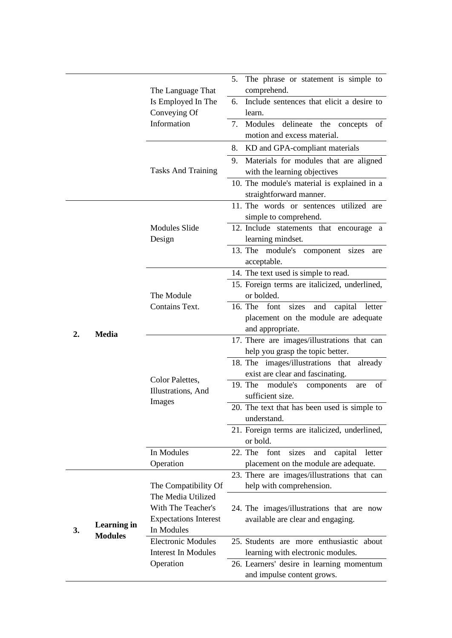|    |                                      | The Language That                               | 5. The phrase or statement is simple to<br>comprehend.                                                                                                                                                                                                                                                                                                                                                                                                                                                                                                                                                                                                                                                                                                                                                                                                                                                  |  |  |
|----|--------------------------------------|-------------------------------------------------|---------------------------------------------------------------------------------------------------------------------------------------------------------------------------------------------------------------------------------------------------------------------------------------------------------------------------------------------------------------------------------------------------------------------------------------------------------------------------------------------------------------------------------------------------------------------------------------------------------------------------------------------------------------------------------------------------------------------------------------------------------------------------------------------------------------------------------------------------------------------------------------------------------|--|--|
|    |                                      | Is Employed In The<br>Conveying Of              | Include sentences that elicit a desire to<br>6.<br>learn.                                                                                                                                                                                                                                                                                                                                                                                                                                                                                                                                                                                                                                                                                                                                                                                                                                               |  |  |
|    |                                      | Information                                     | Modules delineate the concepts<br>of<br>7.<br>motion and excess material.                                                                                                                                                                                                                                                                                                                                                                                                                                                                                                                                                                                                                                                                                                                                                                                                                               |  |  |
|    |                                      |                                                 | 8.<br>KD and GPA-compliant materials                                                                                                                                                                                                                                                                                                                                                                                                                                                                                                                                                                                                                                                                                                                                                                                                                                                                    |  |  |
|    |                                      | <b>Tasks And Training</b>                       | Materials for modules that are aligned<br>9.                                                                                                                                                                                                                                                                                                                                                                                                                                                                                                                                                                                                                                                                                                                                                                                                                                                            |  |  |
|    |                                      |                                                 | 10. The module's material is explained in a<br>straightforward manner.                                                                                                                                                                                                                                                                                                                                                                                                                                                                                                                                                                                                                                                                                                                                                                                                                                  |  |  |
|    |                                      |                                                 | 11. The words or sentences utilized are<br>simple to comprehend.                                                                                                                                                                                                                                                                                                                                                                                                                                                                                                                                                                                                                                                                                                                                                                                                                                        |  |  |
|    |                                      | <b>Modules Slide</b><br>Design                  | 12. Include statements that encourage a<br>learning mindset.                                                                                                                                                                                                                                                                                                                                                                                                                                                                                                                                                                                                                                                                                                                                                                                                                                            |  |  |
|    |                                      |                                                 | with the learning objectives<br>13. The module's component sizes<br>are<br>acceptable.<br>14. The text used is simple to read.<br>15. Foreign terms are italicized, underlined,<br>or bolded.<br>16. The<br>font sizes<br>and capital letter<br>placement on the module are adequate<br>and appropriate.<br>17. There are images/illustrations that can<br>help you grasp the topic better.<br>18. The images/illustrations that already<br>exist are clear and fascinating.<br>19. The<br>module's<br>of<br>components<br>are<br>sufficient size.<br>20. The text that has been used is simple to<br>understand.<br>21. Foreign terms are italicized, underlined,<br>or bold.<br>22. The<br>capital<br>font<br>sizes<br>and<br>letter<br>placement on the module are adequate.<br>23. There are images/illustrations that can<br>help with comprehension.<br>24. The images/illustrations that are now |  |  |
|    |                                      |                                                 |                                                                                                                                                                                                                                                                                                                                                                                                                                                                                                                                                                                                                                                                                                                                                                                                                                                                                                         |  |  |
|    |                                      | The Module<br>Contains Text.                    |                                                                                                                                                                                                                                                                                                                                                                                                                                                                                                                                                                                                                                                                                                                                                                                                                                                                                                         |  |  |
|    |                                      |                                                 |                                                                                                                                                                                                                                                                                                                                                                                                                                                                                                                                                                                                                                                                                                                                                                                                                                                                                                         |  |  |
| 2. | <b>Media</b>                         |                                                 |                                                                                                                                                                                                                                                                                                                                                                                                                                                                                                                                                                                                                                                                                                                                                                                                                                                                                                         |  |  |
|    |                                      | Color Palettes,<br>Illustrations, And<br>Images |                                                                                                                                                                                                                                                                                                                                                                                                                                                                                                                                                                                                                                                                                                                                                                                                                                                                                                         |  |  |
|    |                                      |                                                 |                                                                                                                                                                                                                                                                                                                                                                                                                                                                                                                                                                                                                                                                                                                                                                                                                                                                                                         |  |  |
|    |                                      |                                                 |                                                                                                                                                                                                                                                                                                                                                                                                                                                                                                                                                                                                                                                                                                                                                                                                                                                                                                         |  |  |
|    |                                      |                                                 |                                                                                                                                                                                                                                                                                                                                                                                                                                                                                                                                                                                                                                                                                                                                                                                                                                                                                                         |  |  |
|    |                                      |                                                 |                                                                                                                                                                                                                                                                                                                                                                                                                                                                                                                                                                                                                                                                                                                                                                                                                                                                                                         |  |  |
|    |                                      | In Modules                                      |                                                                                                                                                                                                                                                                                                                                                                                                                                                                                                                                                                                                                                                                                                                                                                                                                                                                                                         |  |  |
|    |                                      | Operation                                       |                                                                                                                                                                                                                                                                                                                                                                                                                                                                                                                                                                                                                                                                                                                                                                                                                                                                                                         |  |  |
|    |                                      |                                                 |                                                                                                                                                                                                                                                                                                                                                                                                                                                                                                                                                                                                                                                                                                                                                                                                                                                                                                         |  |  |
|    |                                      | The Compatibility Of                            |                                                                                                                                                                                                                                                                                                                                                                                                                                                                                                                                                                                                                                                                                                                                                                                                                                                                                                         |  |  |
|    |                                      | The Media Utilized<br>With The Teacher's        |                                                                                                                                                                                                                                                                                                                                                                                                                                                                                                                                                                                                                                                                                                                                                                                                                                                                                                         |  |  |
|    |                                      | <b>Expectations Interest</b>                    | available are clear and engaging.                                                                                                                                                                                                                                                                                                                                                                                                                                                                                                                                                                                                                                                                                                                                                                                                                                                                       |  |  |
| 3. | <b>Learning</b> in<br><b>Modules</b> | In Modules                                      |                                                                                                                                                                                                                                                                                                                                                                                                                                                                                                                                                                                                                                                                                                                                                                                                                                                                                                         |  |  |
|    |                                      | <b>Electronic Modules</b>                       | 25. Students are more enthusiastic about                                                                                                                                                                                                                                                                                                                                                                                                                                                                                                                                                                                                                                                                                                                                                                                                                                                                |  |  |
|    |                                      | <b>Interest In Modules</b>                      | learning with electronic modules.                                                                                                                                                                                                                                                                                                                                                                                                                                                                                                                                                                                                                                                                                                                                                                                                                                                                       |  |  |
|    |                                      | Operation                                       | 26. Learners' desire in learning momentum<br>and impulse content grows.                                                                                                                                                                                                                                                                                                                                                                                                                                                                                                                                                                                                                                                                                                                                                                                                                                 |  |  |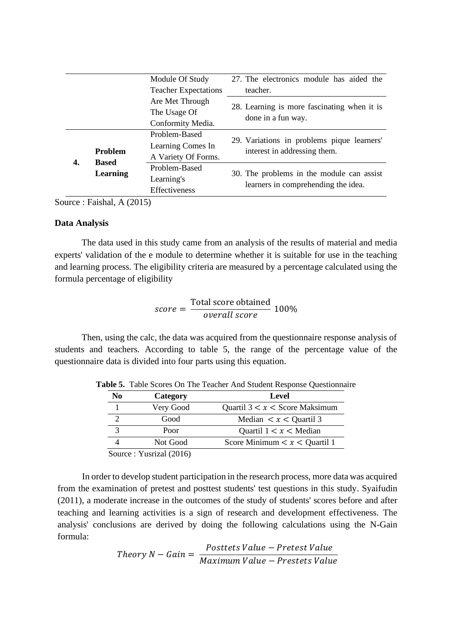|                             | Module Of Study |                     | 27. The electronics module has aided the                                   |  |
|-----------------------------|-----------------|---------------------|----------------------------------------------------------------------------|--|
| <b>Teacher Expectations</b> |                 |                     | teacher.                                                                   |  |
|                             |                 | Are Met Through     |                                                                            |  |
|                             |                 | The Usage Of        | 28. Learning is more fascinating when it is                                |  |
|                             |                 | Conformity Media.   | done in a fun way.                                                         |  |
|                             |                 | Problem-Based       |                                                                            |  |
|                             | <b>Problem</b>  | Learning Comes In   | 29. Variations in problems pique learners'<br>interest in addressing them. |  |
|                             | <b>Based</b>    | A Variety Of Forms. |                                                                            |  |
| 4.                          |                 | Problem-Based       |                                                                            |  |
|                             | Learning        | Learning's          | 30. The problems in the module can assist                                  |  |
|                             |                 | Effectiveness       | learners in comprehending the idea.                                        |  |

Source : Faishal, A (2015)

## **Data Analysis**

The data used in this study came from an analysis of the results of material and media experts' validation of the e module to determine whether it is suitable for use in the teaching and learning process. The eligibility criteria are measured by a percentage calculated using the formula percentage of eligibility

$$
score = \frac{Total\ score\ obtained}{overall\ score} \ 100\%
$$

Then, using the calc, the data was acquired from the questionnaire response analysis of students and teachers. According to table 5, the range of the percentage value of the questionnaire data is divided into four parts using this equation.

| N <sub>0</sub> | Category                                                                 | Level                               |
|----------------|--------------------------------------------------------------------------|-------------------------------------|
|                | Very Good                                                                | Quartil $3 < x <$ Score Maksimum    |
|                | Good                                                                     | Median $\lt x \lt$ Quartil 3        |
|                | Poor                                                                     | Quartil $1 < x <$ Median            |
| 4              | Not Good                                                                 | Score Minimum $\lt x \lt$ Quartil 1 |
|                | $\Gamma_{\text{out}}$ $\sim$ $V_{\text{in}}$ $\sim$ $1/201$ $\epsilon$ ) |                                     |

**Table 5.** Table Scores On The Teacher And Student Response Questionnaire

Source : Yusrizal (2016)

In order to develop student participation in the research process, more data was acquired from the examination of pretest and posttest students' test questions in this study. Syaifudin (2011), a moderate increase in the outcomes of the study of students' scores before and after teaching and learning activities is a sign of research and development effectiveness. The analysis' conclusions are derived by doing the following calculations using the N-Gain formula:

*Theory N* – *Gain* = 
$$
\frac{Postlets Value - Pretest Value}{Maximum Value - Presets Value}
$$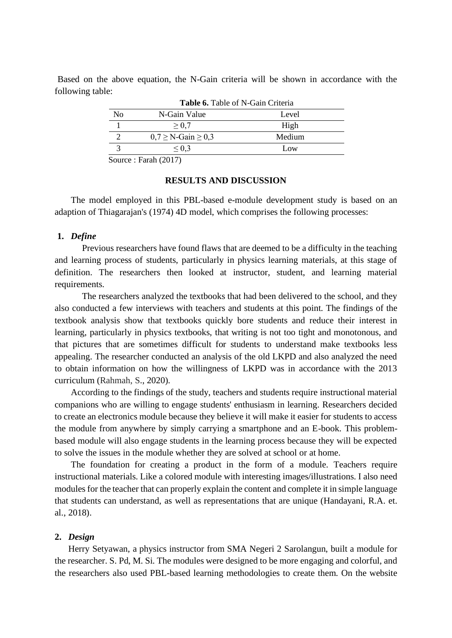Based on the above equation, the N-Gain criteria will be shown in accordance with the following table:

|        | Table 6. Table of N-Gain Criteria |        |  |  |
|--------|-----------------------------------|--------|--|--|
| No     | N-Gain Value                      | Level  |  |  |
|        | $\geq 0.7$                        | High   |  |  |
|        | $0.7 \geq N$ -Gain $\geq 0.3$     | Medium |  |  |
|        | $\leq 0.3$                        | Low    |  |  |
| $\sim$ | −<br>$1/2$ $(2)$                  |        |  |  |

Source : Farah (2017)

## **RESULTS AND DISCUSSION**

The model employed in this PBL-based e-module development study is based on an adaption of Thiagarajan's (1974) 4D model, which comprises the following processes:

## **1.** *Define*

Previous researchers have found flaws that are deemed to be a difficulty in the teaching and learning process of students, particularly in physics learning materials, at this stage of definition. The researchers then looked at instructor, student, and learning material requirements.

The researchers analyzed the textbooks that had been delivered to the school, and they also conducted a few interviews with teachers and students at this point. The findings of the textbook analysis show that textbooks quickly bore students and reduce their interest in learning, particularly in physics textbooks, that writing is not too tight and monotonous, and that pictures that are sometimes difficult for students to understand make textbooks less appealing. The researcher conducted an analysis of the old LKPD and also analyzed the need to obtain information on how the willingness of LKPD was in accordance with the 2013 curriculum (Rahmah, S., 2020).

According to the findings of the study, teachers and students require instructional material companions who are willing to engage students' enthusiasm in learning. Researchers decided to create an electronics module because they believe it will make it easier for students to access the module from anywhere by simply carrying a smartphone and an E-book. This problembased module will also engage students in the learning process because they will be expected to solve the issues in the module whether they are solved at school or at home.

The foundation for creating a product in the form of a module. Teachers require instructional materials. Like a colored module with interesting images/illustrations. I also need modules for the teacher that can properly explain the content and complete it in simple language that students can understand, as well as representations that are unique (Handayani, R.A. et. al., 2018).

## **2.** *Design*

Herry Setyawan, a physics instructor from SMA Negeri 2 Sarolangun, built a module for the researcher. S. Pd, M. Si. The modules were designed to be more engaging and colorful, and the researchers also used PBL-based learning methodologies to create them. On the website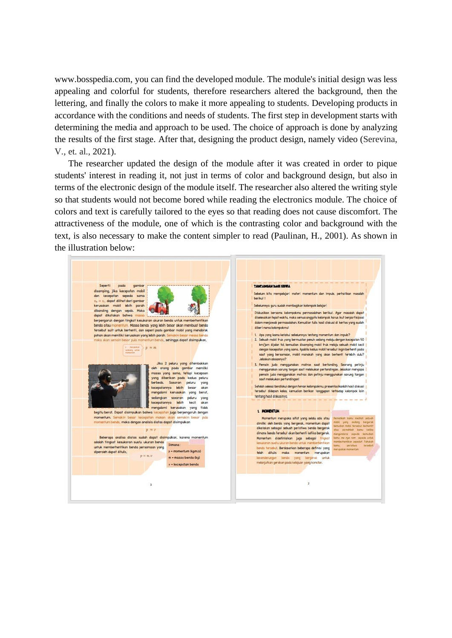www.bosspedia.com, you can find the developed module. The module's initial design was less appealing and colorful for students, therefore researchers altered the background, then the lettering, and finally the colors to make it more appealing to students. Developing products in accordance with the conditions and needs of students. The first step in development starts with determining the media and approach to be used. The choice of approach is done by analyzing the results of the first stage. After that, designing the product design, namely video (Serevina, V., et. al., 2021).

The researcher updated the design of the module after it was created in order to pique students' interest in reading it, not just in terms of color and background design, but also in terms of the electronic design of the module itself. The researcher also altered the writing style so that students would not become bored while reading the electronics module. The choice of colors and text is carefully tailored to the eyes so that reading does not cause discomfort. The attractiveness of the module, one of which is the contrasting color and background with the text, is also necessary to make the content simpler to read (Paulinan, H., 2001). As shown in the illustration below:

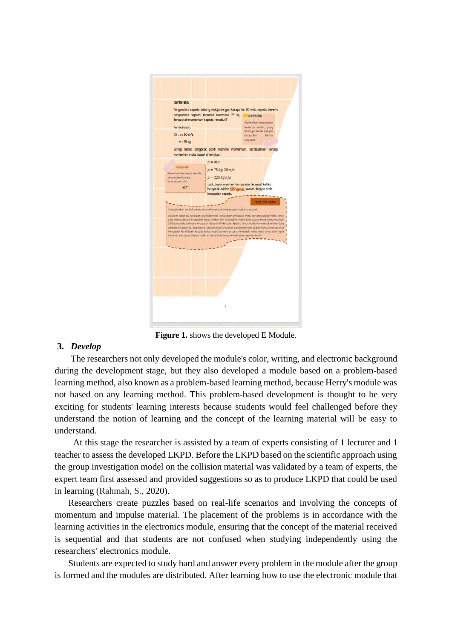

**Figure 1.** shows the developed E Module.

# **3.** *Develop*

The researchers not only developed the module's color, writing, and electronic background during the development stage, but they also developed a module based on a problem-based learning method, also known as a problem-based learning method, because Herry's module was not based on any learning method. This problem-based development is thought to be very exciting for students' learning interests because students would feel challenged before they understand the notion of learning and the concept of the learning material will be easy to understand.

At this stage the researcher is assisted by a team of experts consisting of 1 lecturer and 1 teacher to assess the developed LKPD. Before the LKPD based on the scientific approach using the group investigation model on the collision material was validated by a team of experts, the expert team first assessed and provided suggestions so as to produce LKPD that could be used in learning (Rahmah, S., 2020).

Researchers create puzzles based on real-life scenarios and involving the concepts of momentum and impulse material. The placement of the problems is in accordance with the learning activities in the electronics module, ensuring that the concept of the material received is sequential and that students are not confused when studying independently using the researchers' electronics module.

Students are expected to study hard and answer every problem in the module after the group is formed and the modules are distributed. After learning how to use the electronic module that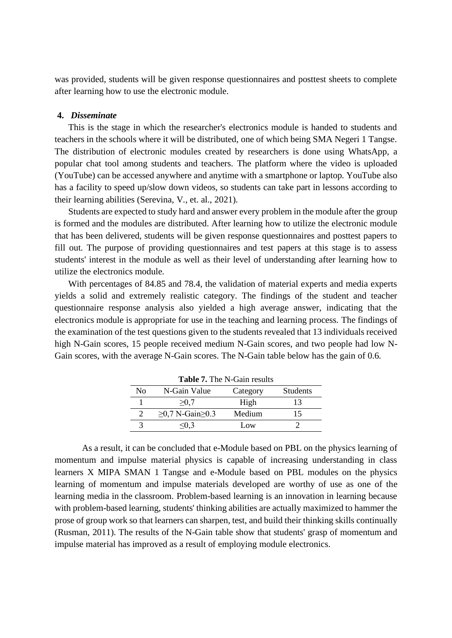was provided, students will be given response questionnaires and posttest sheets to complete after learning how to use the electronic module.

## **4.** *Disseminate*

This is the stage in which the researcher's electronics module is handed to students and teachers in the schools where it will be distributed, one of which being SMA Negeri 1 Tangse. The distribution of electronic modules created by researchers is done using WhatsApp, a popular chat tool among students and teachers. The platform where the video is uploaded (YouTube) can be accessed anywhere and anytime with a smartphone or laptop. YouTube also has a facility to speed up/slow down videos, so students can take part in lessons according to their learning abilities (Serevina, V., et. al., 2021).

Students are expected to study hard and answer every problem in the module after the group is formed and the modules are distributed. After learning how to utilize the electronic module that has been delivered, students will be given response questionnaires and posttest papers to fill out. The purpose of providing questionnaires and test papers at this stage is to assess students' interest in the module as well as their level of understanding after learning how to utilize the electronics module.

With percentages of 84.85 and 78.4, the validation of material experts and media experts yields a solid and extremely realistic category. The findings of the student and teacher questionnaire response analysis also yielded a high average answer, indicating that the electronics module is appropriate for use in the teaching and learning process. The findings of the examination of the test questions given to the students revealed that 13 individuals received high N-Gain scores, 15 people received medium N-Gain scores, and two people had low N-Gain scores, with the average N-Gain scores. The N-Gain table below has the gain of 0.6.

| <b>Table 7.</b> The N-Gain results |                              |          |                 |  |
|------------------------------------|------------------------------|----------|-----------------|--|
| No                                 | N-Gain Value                 | Category | <b>Students</b> |  |
|                                    | >0.7                         | High     | 13              |  |
|                                    | $\geq 0.7$ N-Gain $\geq 0.3$ | Medium   | 15              |  |
|                                    | < 0.3                        | Low      |                 |  |

As a result, it can be concluded that e-Module based on PBL on the physics learning of momentum and impulse material physics is capable of increasing understanding in class learners X MIPA SMAN 1 Tangse and e-Module based on PBL modules on the physics learning of momentum and impulse materials developed are worthy of use as one of the learning media in the classroom. Problem-based learning is an innovation in learning because with problem-based learning, students' thinking abilities are actually maximized to hammer the prose of group work so that learners can sharpen, test, and build their thinking skills continually (Rusman, 2011). The results of the N-Gain table show that students' grasp of momentum and impulse material has improved as a result of employing module electronics.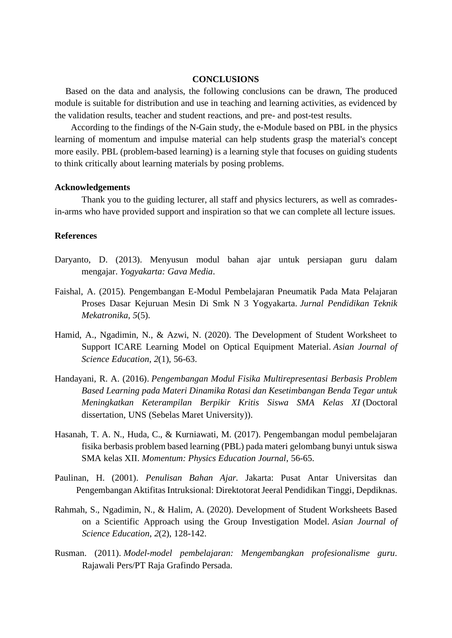# **CONCLUSIONS**

Based on the data and analysis, the following conclusions can be drawn, The produced module is suitable for distribution and use in teaching and learning activities, as evidenced by the validation results, teacher and student reactions, and pre- and post-test results.

According to the findings of the N-Gain study, the e-Module based on PBL in the physics learning of momentum and impulse material can help students grasp the material's concept more easily. PBL (problem-based learning) is a learning style that focuses on guiding students to think critically about learning materials by posing problems.

#### **Acknowledgements**

Thank you to the guiding lecturer, all staff and physics lecturers, as well as comradesin-arms who have provided support and inspiration so that we can complete all lecture issues.

## **References**

- Daryanto, D. (2013). Menyusun modul bahan ajar untuk persiapan guru dalam mengajar. *Yogyakarta: Gava Media*.
- Faishal, A. (2015). Pengembangan E-Modul Pembelajaran Pneumatik Pada Mata Pelajaran Proses Dasar Kejuruan Mesin Di Smk N 3 Yogyakarta. *Jurnal Pendidikan Teknik Mekatronika*, *5*(5).
- Hamid, A., Ngadimin, N., & Azwi, N. (2020). The Development of Student Worksheet to Support ICARE Learning Model on Optical Equipment Material. *Asian Journal of Science Education*, *2*(1), 56-63.
- Handayani, R. A. (2016). *Pengembangan Modul Fisika Multirepresentasi Berbasis Problem Based Learning pada Materi Dinamika Rotasi dan Kesetimbangan Benda Tegar untuk Meningkatkan Keterampilan Berpikir Kritis Siswa SMA Kelas XI* (Doctoral dissertation, UNS (Sebelas Maret University)).
- Hasanah, T. A. N., Huda, C., & Kurniawati, M. (2017). Pengembangan modul pembelajaran fisika berbasis problem based learning (PBL) pada materi gelombang bunyi untuk siswa SMA kelas XII. *Momentum: Physics Education Journal*, 56-65.
- Paulinan, H. (2001). *Penulisan Bahan Ajar.* Jakarta: Pusat Antar Universitas dan Pengembangan Aktifitas Intruksional: Direktotorat Jeeral Pendidikan Tinggi, Depdiknas.
- Rahmah, S., Ngadimin, N., & Halim, A. (2020). Development of Student Worksheets Based on a Scientific Approach using the Group Investigation Model. *Asian Journal of Science Education*, *2*(2), 128-142.
- Rusman. (2011). *Model-model pembelajaran: Mengembangkan profesionalisme guru*. Rajawali Pers/PT Raja Grafindo Persada.